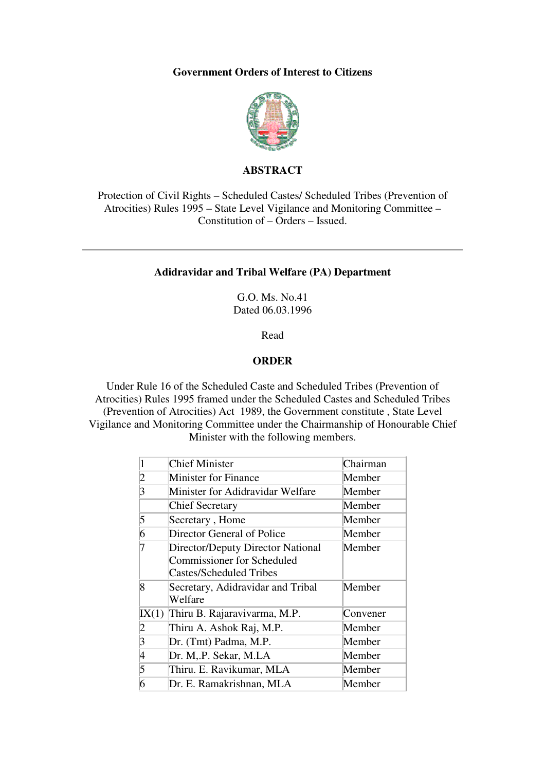## **Government Orders of Interest to Citizens**



# **ABSTRACT**

Protection of Civil Rights – Scheduled Castes/ Scheduled Tribes (Prevention of Atrocities) Rules 1995 – State Level Vigilance and Monitoring Committee – Constitution of – Orders – Issued.

#### **Adidravidar and Tribal Welfare (PA) Department**

G.O. Ms. No.41 Dated 06.03.1996

Read

### **ORDER**

Under Rule 16 of the Scheduled Caste and Scheduled Tribes (Prevention of Atrocities) Rules 1995 framed under the Scheduled Castes and Scheduled Tribes (Prevention of Atrocities) Act 1989, the Government constitute , State Level Vigilance and Monitoring Committee under the Chairmanship of Honourable Chief Minister with the following members.

|                | Chief Minister                                                                                    | Chairman |
|----------------|---------------------------------------------------------------------------------------------------|----------|
| 2              | <b>Minister for Finance</b>                                                                       | Member   |
| 3              | Minister for Adidravidar Welfare                                                                  | Member   |
|                | <b>Chief Secretary</b>                                                                            | Member   |
| 5              | Secretary, Home                                                                                   | Member   |
| 6              | Director General of Police                                                                        | Member   |
|                | Director/Deputy Director National<br>Commissioner for Scheduled<br><b>Castes/Scheduled Tribes</b> | Member   |
| 8              | Secretary, Adidravidar and Tribal<br>Welfare                                                      | Member   |
| IX(1)          | Thiru B. Rajaravivarma, M.P.                                                                      | Convener |
| 2              | Thiru A. Ashok Raj, M.P.                                                                          | Member   |
| $\overline{3}$ | Dr. (Tmt) Padma, M.P.                                                                             | Member   |
| 4              | Dr. M, P. Sekar, M.LA                                                                             | Member   |
| 5              | Thiru. E. Ravikumar, MLA                                                                          | Member   |
| 6              | Dr. E. Ramakrishnan, MLA                                                                          | Member   |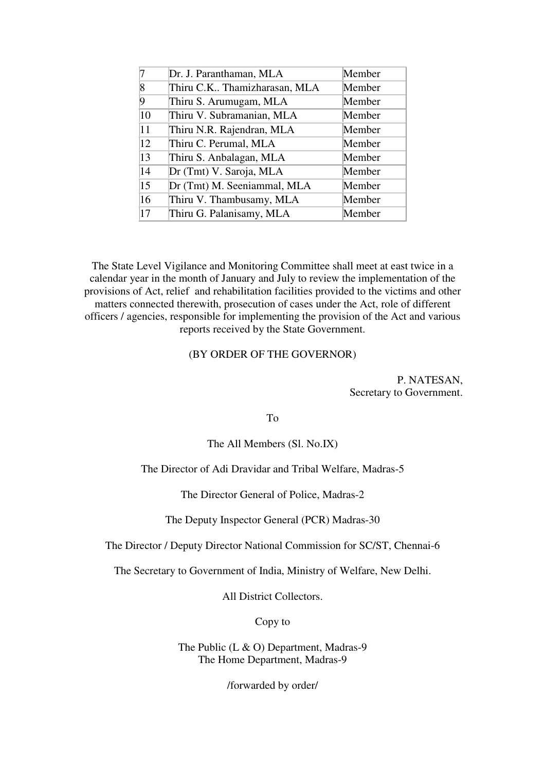|    | Dr. J. Paranthaman, MLA      | Member |
|----|------------------------------|--------|
| 8  | Thiru C.K Thamizharasan, MLA | Member |
| Q  | Thiru S. Arumugam, MLA       | Member |
| 10 | Thiru V. Subramanian, MLA    | Member |
| 11 | Thiru N.R. Rajendran, MLA    | Member |
| 12 | Thiru C. Perumal, MLA        | Member |
| 13 | Thiru S. Anbalagan, MLA      | Member |
| 14 | Dr (Tmt) V. Saroja, MLA      | Member |
| 15 | Dr (Tmt) M. Seeniammal, MLA  | Member |
| 16 | Thiru V. Thambusamy, MLA     | Member |
| 17 | Thiru G. Palanisamy, MLA     | Member |

The State Level Vigilance and Monitoring Committee shall meet at east twice in a calendar year in the month of January and July to review the implementation of the provisions of Act, relief and rehabilitation facilities provided to the victims and other matters connected therewith, prosecution of cases under the Act, role of different officers / agencies, responsible for implementing the provision of the Act and various reports received by the State Government.

#### (BY ORDER OF THE GOVERNOR)

P. NATESAN, Secretary to Government.

To

The All Members (Sl. No.IX)

The Director of Adi Dravidar and Tribal Welfare, Madras-5

The Director General of Police, Madras-2

The Deputy Inspector General (PCR) Madras-30

The Director / Deputy Director National Commission for SC/ST, Chennai-6

The Secretary to Government of India, Ministry of Welfare, New Delhi.

All District Collectors.

Copy to

The Public (L & O) Department, Madras-9 The Home Department, Madras-9

/forwarded by order/